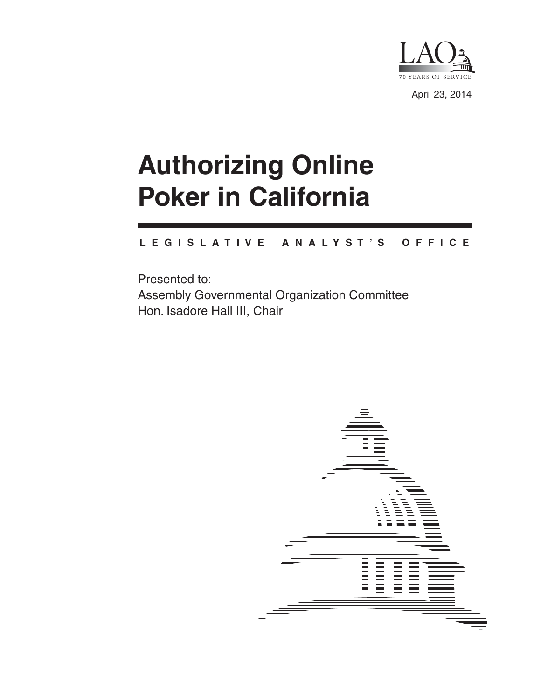

April 23, 2014

# **Authorizing Online Poker in California**

#### **L E G I S L A T I V E A N A L Y S T ' S O F F I C E**

Presented to: Assembly Governmental Organization Committee Hon. Isadore Hall III, Chair

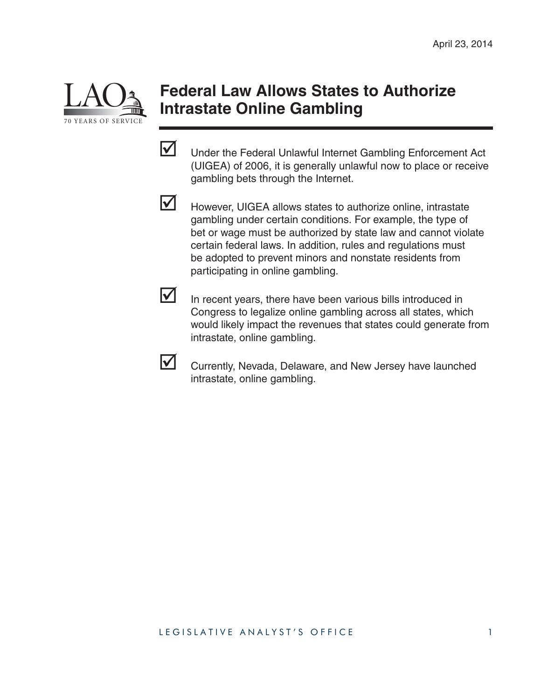

#### **Federal Law Allows States to Authorize Intrastate Online Gambling**

Under the Federal Unlawful Internet Gambling Enforcement Act (UIGEA) of 2006, it is generally unlawful now to place or receive gambling bets through the Internet.



 $\triangledown$  However, UIGEA allows states to authorize online, intrastate gambling under certain conditions. For example, the type of bet or wage must be authorized by state law and cannot violate certain federal laws. In addition, rules and regulations must be adopted to prevent minors and nonstate residents from participating in online gambling.

 $\triangleright$  In recent years, there have been various bills introduced in Congress to legalize online gambling across all states, which would likely impact the revenues that states could generate from intrastate, online gambling.



Currently, Nevada, Delaware, and New Jersey have launched intrastate, online gambling.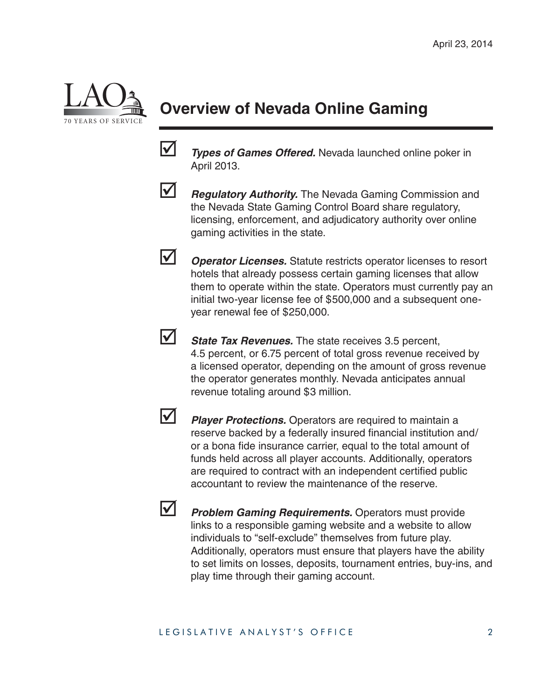

## **Overview of Nevada Online Gaming**

**1** *Types of Games Offered.* Nevada launched online poker in April 2013.



**1 Regulatory Authority.** The Nevada Gaming Commission and the Nevada State Gaming Control Board share regulatory, licensing, enforcement, and adjudicatory authority over online gaming activities in the state.

*Operator Licenses.* Statute restricts operator licenses to resort hotels that already possess certain gaming licenses that allow them to operate within the state. Operators must currently pay an initial two-year license fee of \$500,000 and a subsequent oneyear renewal fee of \$250,000.



*State Tax Revenues.* The state receives 3.5 percent, 4.5 percent, or 6.75 percent of total gross revenue received by a licensed operator, depending on the amount of gross revenue the operator generates monthly. Nevada anticipates annual revenue totaling around \$3 million.



**Player Protections.** Operators are required to maintain a reserve backed by a federally insured financial institution and/ or a bona fide insurance carrier, equal to the total amount of funds held across all player accounts. Additionally, operators are required to contract with an independent certified public accountant to review the maintenance of the reserve.



**1** Problem Gaming Requirements. Operators must provide links to a responsible gaming website and a website to allow individuals to "self-exclude" themselves from future play. Additionally, operators must ensure that players have the ability to set limits on losses, deposits, tournament entries, buy-ins, and play time through their gaming account.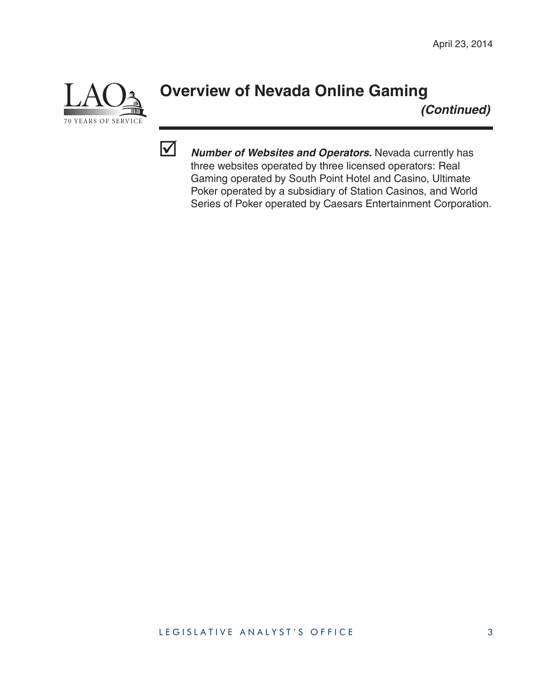

### **Overview of Nevada Online Gaming**

*(Continued)*



**V Number of Websites and Operators.** Nevada currently has three websites operated by three licensed operators: Real Gaming operated by South Point Hotel and Casino, Ultimate Poker operated by a subsidiary of Station Casinos, and World Series of Poker operated by Caesars Entertainment Corporation.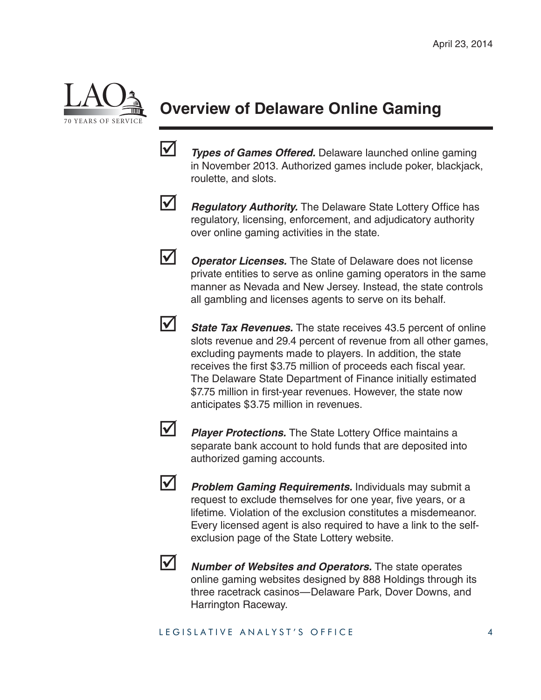

# **Overview of Delaware Online Gaming**

 *Types of Games Offered.* Delaware launched online gaming in November 2013. Authorized games include poker, blackjack, roulette, and slots.



*Regulatory Authority.* The Delaware State Lottery Office has regulatory, licensing, enforcement, and adjudicatory authority over online gaming activities in the state.



*Operator Licenses.* The State of Delaware does not license private entities to serve as online gaming operators in the same manner as Nevada and New Jersey. Instead, the state controls all gambling and licenses agents to serve on its behalf.



**State Tax Revenues.** The state receives 43.5 percent of online slots revenue and 29.4 percent of revenue from all other games, excluding payments made to players. In addition, the state receives the first \$3.75 million of proceeds each fiscal year. The Delaware State Department of Finance initially estimated \$7.75 million in first-year revenues. However, the state now anticipates \$3.75 million in revenues.



**1** Player Protections. The State Lottery Office maintains a separate bank account to hold funds that are deposited into authorized gaming accounts.



*Problem Gaming Requirements.* Individuals may submit a request to exclude themselves for one year, five years, or a lifetime. Violation of the exclusion constitutes a misdemeanor. Every licensed agent is also required to have a link to the selfexclusion page of the State Lottery website.



*Number of Websites and Operators.* The state operates online gaming websites designed by 888 Holdings through its three racetrack casinos—Delaware Park, Dover Downs, and Harrington Raceway.

#### LEGISLATIVE ANALYST'S OFFICE 4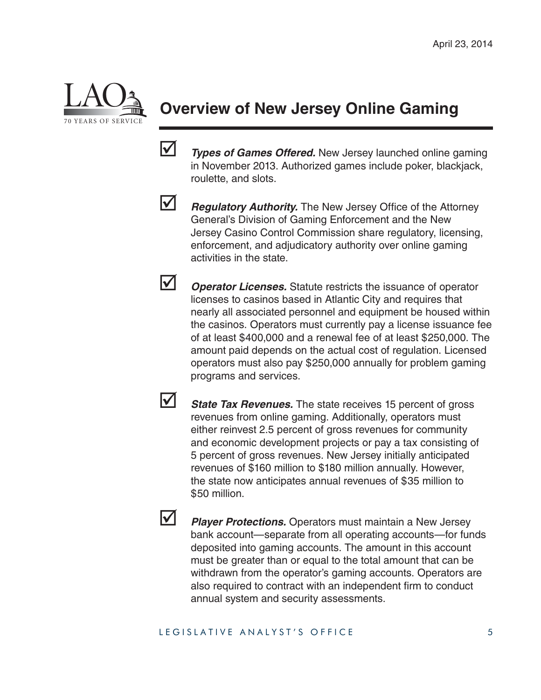

### **Overview of New Jersey Online Gaming**

**1** *Types of Games Offered.* New Jersey launched online gaming in November 2013. Authorized games include poker, blackjack, roulette, and slots.



*Regulatory Authority.* The New Jersey Office of the Attorney General's Division of Gaming Enforcement and the New Jersey Casino Control Commission share regulatory, licensing, enforcement, and adjudicatory authority over online gaming activities in the state.

*Operator Licenses.* Statute restricts the issuance of operator licenses to casinos based in Atlantic City and requires that nearly all associated personnel and equipment be housed within the casinos. Operators must currently pay a license issuance fee of at least \$400,000 and a renewal fee of at least \$250,000. The amount paid depends on the actual cost of regulation. Licensed operators must also pay \$250,000 annually for problem gaming programs and services.

**1** State Tax Revenues. The state receives 15 percent of gross revenues from online gaming. Additionally, operators must either reinvest 2.5 percent of gross revenues for community and economic development projects or pay a tax consisting of 5 percent of gross revenues. New Jersey initially anticipated revenues of \$160 million to \$180 million annually. However, the state now anticipates annual revenues of \$35 million to \$50 million.

**1** *Player Protections.* Operators must maintain a New Jersey bank account—separate from all operating accounts—for funds deposited into gaming accounts. The amount in this account must be greater than or equal to the total amount that can be withdrawn from the operator's gaming accounts. Operators are also required to contract with an independent firm to conduct annual system and security assessments.

#### LEGISLATIVE ANALYST'S OFFICE 5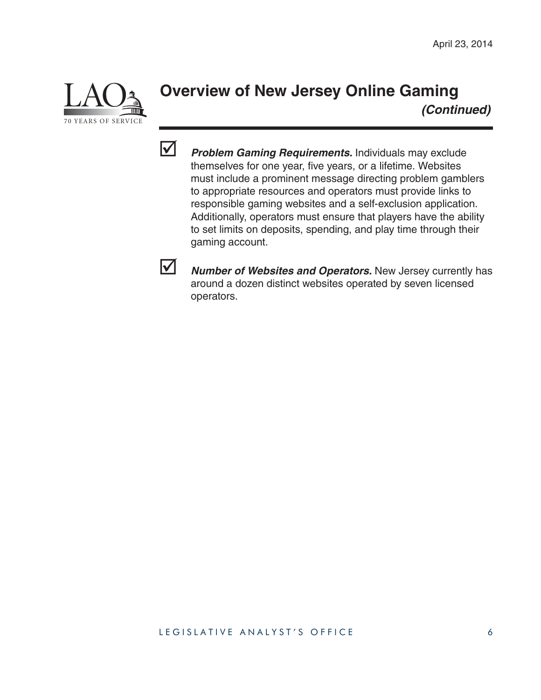

### **Overview of New Jersey Online Gaming**  *(Continued)*



*Problem Gaming Requirements.* Individuals may exclude themselves for one year, five years, or a lifetime. Websites must include a prominent message directing problem gamblers to appropriate resources and operators must provide links to responsible gaming websites and a self-exclusion application. Additionally, operators must ensure that players have the ability to set limits on deposits, spending, and play time through their gaming account.



**V Number of Websites and Operators.** New Jersey currently has around a dozen distinct websites operated by seven licensed operators.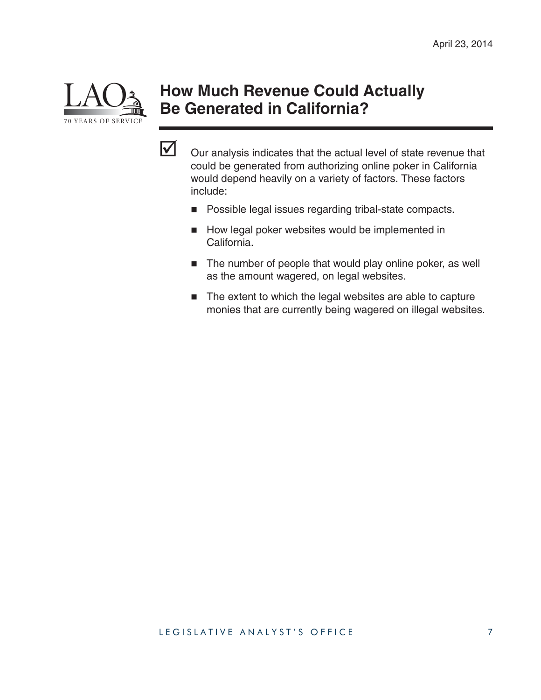

### **How Much Revenue Could Actually Be Generated in California?**



 $\triangledown$  Our analysis indicates that the actual level of state revenue that could be generated from authorizing online poker in California would depend heavily on a variety of factors. These factors include:

- **Possible legal issues regarding tribal-state compacts.**
- How legal poker websites would be implemented in California.
- The number of people that would play online poker, as well as the amount wagered, on legal websites.
- The extent to which the legal websites are able to capture monies that are currently being wagered on illegal websites.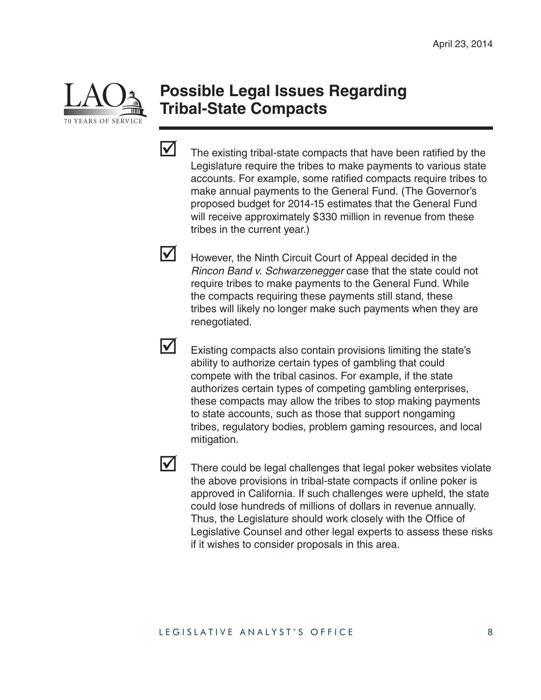

#### **Possible Legal Issues Regarding Tribal-State Compacts**



 $\triangledown$  The existing tribal-state compacts that have been ratified by the Legislature require the tribes to make payments to various state accounts. For example, some ratified compacts require tribes to make annual payments to the General Fund. (The Governor's proposed budget for 2014-15 estimates that the General Fund will receive approximately \$330 million in revenue from these tribes in the current year.)

However, the Ninth Circuit Court of Appeal decided in the *Rincon Band v. Schwarzenegger* case that the state could not require tribes to make payments to the General Fund. While the compacts requiring these payments still stand, these tribes will likely no longer make such payments when they are renegotiated.

 $\triangleright$  Existing compacts also contain provisions limiting the state's ability to authorize certain types of gambling that could compete with the tribal casinos. For example, if the state authorizes certain types of competing gambling enterprises, these compacts may allow the tribes to stop making payments to state accounts, such as those that support nongaming tribes, regulatory bodies, problem gaming resources, and local mitigation.



#### LEGISLATIVE ANALYST'S OFFICE 8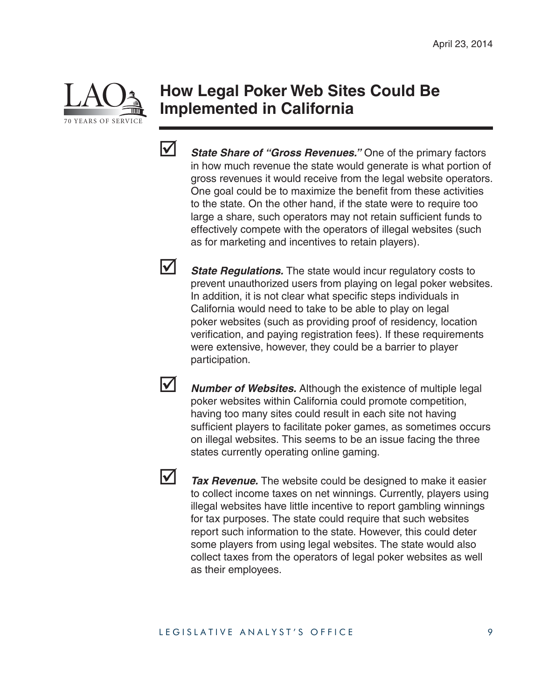

#### **How Legal Poker Web Sites Could Be Implemented in California**



*State Share of "Gross Revenues."* One of the primary factors in how much revenue the state would generate is what portion of gross revenues it would receive from the legal website operators. One goal could be to maximize the benefit from these activities to the state. On the other hand, if the state were to require too large a share, such operators may not retain sufficient funds to effectively compete with the operators of illegal websites (such as for marketing and incentives to retain players).

**State Regulations.** The state would incur regulatory costs to prevent unauthorized users from playing on legal poker websites. In addition, it is not clear what specific steps individuals in California would need to take to be able to play on legal poker websites (such as providing proof of residency, location verification, and paying registration fees). If these requirements were extensive, however, they could be a barrier to player participation.

*Number of Websites.* Although the existence of multiple legal poker websites within California could promote competition, having too many sites could result in each site not having sufficient players to facilitate poker games, as sometimes occurs on illegal websites. This seems to be an issue facing the three states currently operating online gaming.



**1** Tax Revenue. The website could be designed to make it easier to collect income taxes on net winnings. Currently, players using illegal websites have little incentive to report gambling winnings for tax purposes. The state could require that such websites report such information to the state. However, this could deter some players from using legal websites. The state would also collect taxes from the operators of legal poker websites as well as their employees.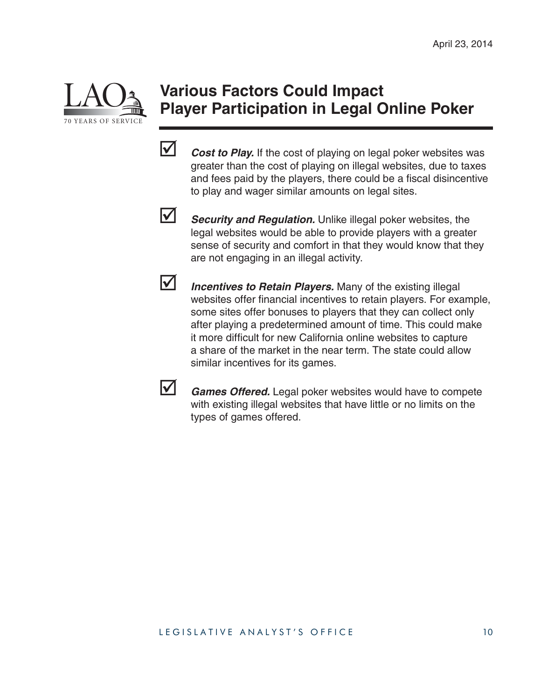

### **Various Factors Could Impact Player Participation in Legal Online Poker**

**V** *Cost to Play.* If the cost of playing on legal poker websites was greater than the cost of playing on illegal websites, due to taxes and fees paid by the players, there could be a fiscal disincentive to play and wager similar amounts on legal sites.



**Security and Regulation.** Unlike illegal poker websites, the legal websites would be able to provide players with a greater sense of security and comfort in that they would know that they are not engaging in an illegal activity.

*Incentives to Retain Players.* Many of the existing illegal websites offer financial incentives to retain players. For example, some sites offer bonuses to players that they can collect only after playing a predetermined amount of time. This could make it more difficult for new California online websites to capture a share of the market in the near term. The state could allow similar incentives for its games.



**Games Offered.** Legal poker websites would have to compete with existing illegal websites that have little or no limits on the types of games offered.